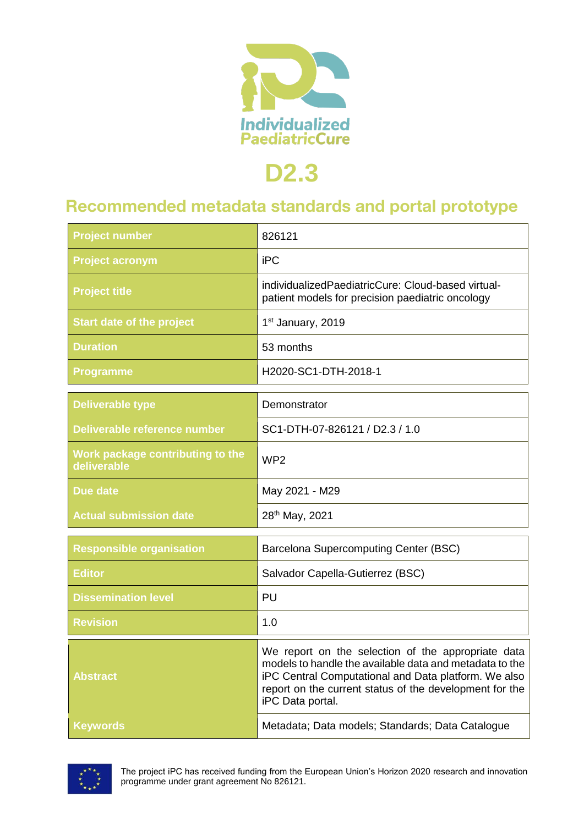

# **D2.3**

## **Recommended metadata standards and portal prototype**

| <b>Project number</b>                           | 826121                                                                                                                                                                                                                                               |
|-------------------------------------------------|------------------------------------------------------------------------------------------------------------------------------------------------------------------------------------------------------------------------------------------------------|
| <b>Project acronym</b>                          | <b>iPC</b>                                                                                                                                                                                                                                           |
| <b>Project title</b>                            | individualizedPaediatricCure: Cloud-based virtual-<br>patient models for precision paediatric oncology                                                                                                                                               |
| <b>Start date of the project</b>                | 1st January, 2019                                                                                                                                                                                                                                    |
| <b>Duration</b>                                 | 53 months                                                                                                                                                                                                                                            |
| <b>Programme</b>                                | H2020-SC1-DTH-2018-1                                                                                                                                                                                                                                 |
| <b>Deliverable type</b>                         | Demonstrator                                                                                                                                                                                                                                         |
| Deliverable reference number                    | SC1-DTH-07-826121 / D2.3 / 1.0                                                                                                                                                                                                                       |
| Work package contributing to the<br>deliverable | WP <sub>2</sub>                                                                                                                                                                                                                                      |
| Due date                                        | May 2021 - M29                                                                                                                                                                                                                                       |
| <b>Actual submission date</b>                   | 28th May, 2021                                                                                                                                                                                                                                       |
| <b>Responsible organisation</b>                 | Barcelona Supercomputing Center (BSC)                                                                                                                                                                                                                |
| <b>Editor</b>                                   | Salvador Capella-Gutierrez (BSC)                                                                                                                                                                                                                     |
| <b>Dissemination level</b>                      | PU                                                                                                                                                                                                                                                   |
| <b>Revision</b>                                 | 1.0                                                                                                                                                                                                                                                  |
| <b>Abstract</b>                                 | We report on the selection of the appropriate data<br>models to handle the available data and metadata to the<br>iPC Central Computational and Data platform. We also<br>report on the current status of the development for the<br>iPC Data portal. |
| <b>Keywords</b>                                 | Metadata; Data models; Standards; Data Catalogue                                                                                                                                                                                                     |

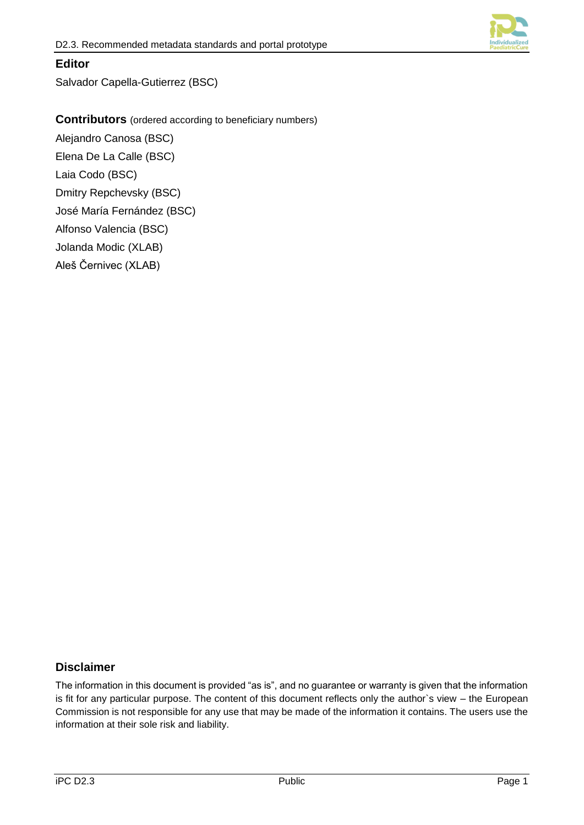

### **Editor**

Salvador Capella-Gutierrez (BSC)

**Contributors** (ordered according to beneficiary numbers)

Alejandro Canosa (BSC) Elena De La Calle (BSC) Laia Codo (BSC)

Dmitry Repchevsky (BSC)

José María Fernández (BSC)

Alfonso Valencia (BSC)

Jolanda Modic (XLAB)

Aleš Černivec (XLAB)

### **Disclaimer**

The information in this document is provided "as is", and no guarantee or warranty is given that the information is fit for any particular purpose. The content of this document reflects only the author`s view – the European Commission is not responsible for any use that may be made of the information it contains. The users use the information at their sole risk and liability.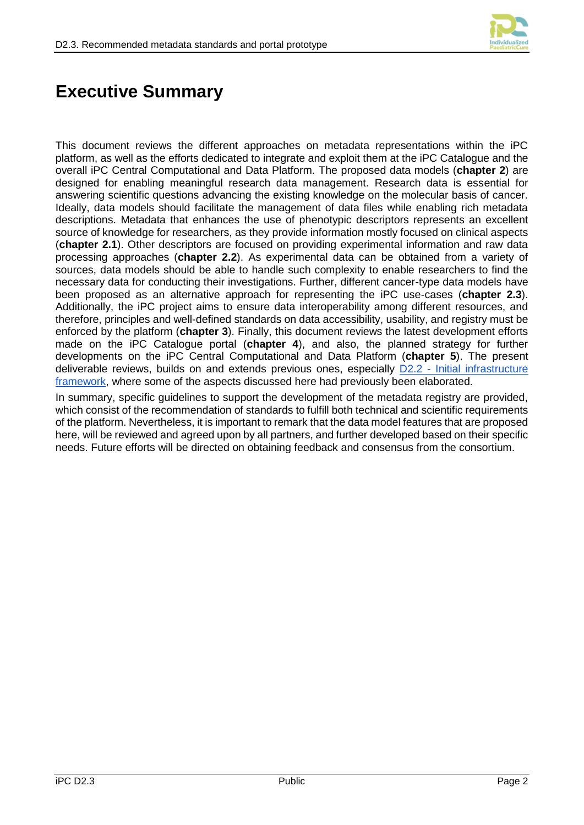

## **Executive Summary**

This document reviews the different approaches on metadata representations within the iPC platform, as well as the efforts dedicated to integrate and exploit them at the iPC Catalogue and the overall iPC Central Computational and Data Platform. The proposed data models (**chapter 2**) are designed for enabling meaningful research data management. Research data is essential for answering scientific questions advancing the existing knowledge on the molecular basis of cancer. Ideally, data models should facilitate the management of data files while enabling rich metadata descriptions. Metadata that enhances the use of phenotypic descriptors represents an excellent source of knowledge for researchers, as they provide information mostly focused on clinical aspects (**chapter 2.1**). Other descriptors are focused on providing experimental information and raw data processing approaches (**chapter 2.2**). As experimental data can be obtained from a variety of sources, data models should be able to handle such complexity to enable researchers to find the necessary data for conducting their investigations. Further, different cancer-type data models have been proposed as an alternative approach for representing the iPC use-cases (**chapter 2.3**). Additionally, the iPC project aims to ensure data interoperability among different resources, and therefore, principles and well-defined standards on data accessibility, usability, and registry must be enforced by the platform (**chapter 3**). Finally, this document reviews the latest development efforts made on the iPC Catalogue portal (**chapter 4**), and also, the planned strategy for further developments on the iPC Central Computational and Data Platform (**chapter 5**). The present deliverable reviews, builds on and extends previous ones, especially D2.2 - Initial infrastructure [framework,](https://drive.google.com/drive/folders/1vvGhKTvt6sjI-tGC5GOPdUi0P5bTLk3d) where some of the aspects discussed here had previously been elaborated.

In summary, specific guidelines to support the development of the metadata registry are provided, which consist of the recommendation of standards to fulfill both technical and scientific requirements of the platform. Nevertheless, it is important to remark that the data model features that are proposed here, will be reviewed and agreed upon by all partners, and further developed based on their specific needs. Future efforts will be directed on obtaining feedback and consensus from the consortium.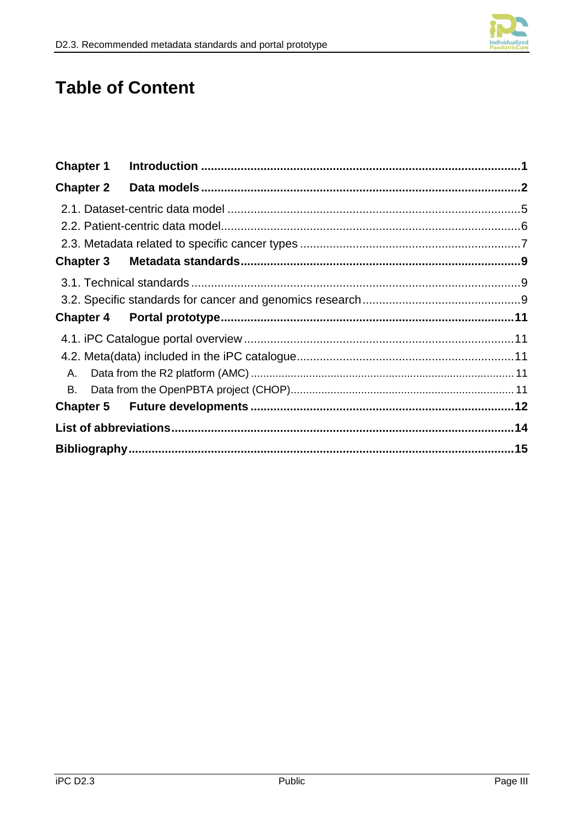

# **Table of Content**

| <b>Chapter 2</b> |  |
|------------------|--|
|                  |  |
|                  |  |
|                  |  |
|                  |  |
|                  |  |
|                  |  |
|                  |  |
|                  |  |
|                  |  |
| A.               |  |
|                  |  |
|                  |  |
|                  |  |
|                  |  |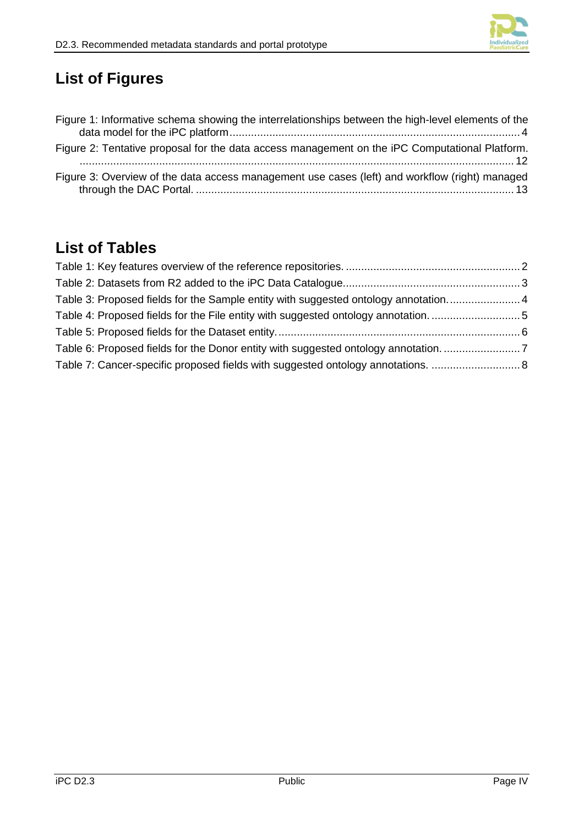

# **List of Figures**

| Figure 1: Informative schema showing the interrelationships between the high-level elements of the |
|----------------------------------------------------------------------------------------------------|
| Figure 2: Tentative proposal for the data access management on the iPC Computational Platform.     |
| Figure 3: Overview of the data access management use cases (left) and workflow (right) managed     |

## **List of Tables**

| Table 3: Proposed fields for the Sample entity with suggested ontology annotation   |  |
|-------------------------------------------------------------------------------------|--|
| Table 4: Proposed fields for the File entity with suggested ontology annotation5    |  |
|                                                                                     |  |
| Table 6: Proposed fields for the Donor entity with suggested ontology annotation. 7 |  |
| Table 7: Cancer-specific proposed fields with suggested ontology annotations.  8    |  |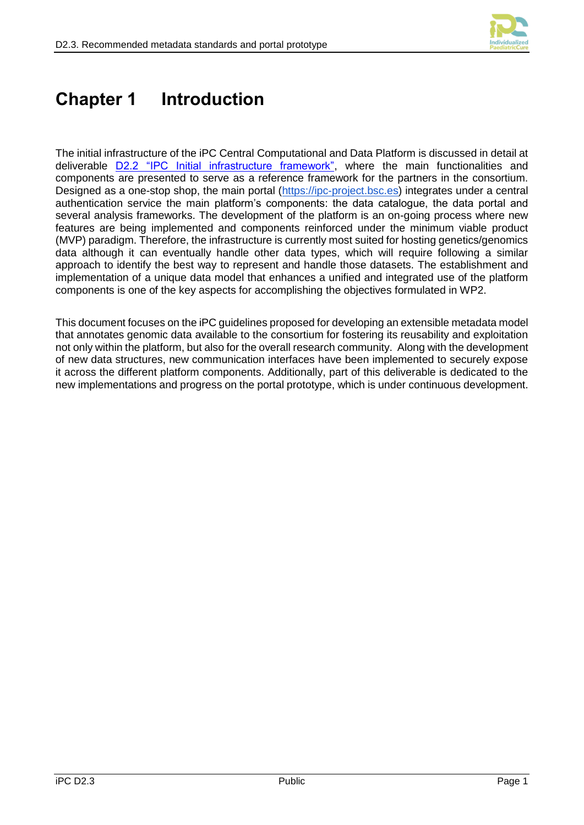

# <span id="page-5-0"></span>**Chapter 1 Introduction**

The initial infrastructure of the iPC Central Computational and Data Platform is discussed in detail at deliverable [D2.2 "IPC Initial infrastructure framework",](https://ipc-project.eu/wp-content/uploads/2021/01/iPC-D2.2-PU-M22.pdf) where the main functionalities and components are presented to serve as a reference framework for the partners in the consortium. Designed as a one-stop shop, the main portal [\(https://ipc-project.bsc.es\)](https://ipc-project.bsc.es/) integrates under a central authentication service the main platform's components: the data catalogue, the data portal and several analysis frameworks. The development of the platform is an on-going process where new features are being implemented and components reinforced under the minimum viable product (MVP) paradigm. Therefore, the infrastructure is currently most suited for hosting genetics/genomics data although it can eventually handle other data types, which will require following a similar approach to identify the best way to represent and handle those datasets. The establishment and implementation of a unique data model that enhances a unified and integrated use of the platform components is one of the key aspects for accomplishing the objectives formulated in WP2.

This document focuses on the iPC guidelines proposed for developing an extensible metadata model that annotates genomic data available to the consortium for fostering its reusability and exploitation not only within the platform, but also for the overall research community. Along with the development of new data structures, new communication interfaces have been implemented to securely expose it across the different platform components. Additionally, part of this deliverable is dedicated to the new implementations and progress on the portal prototype, which is under continuous development.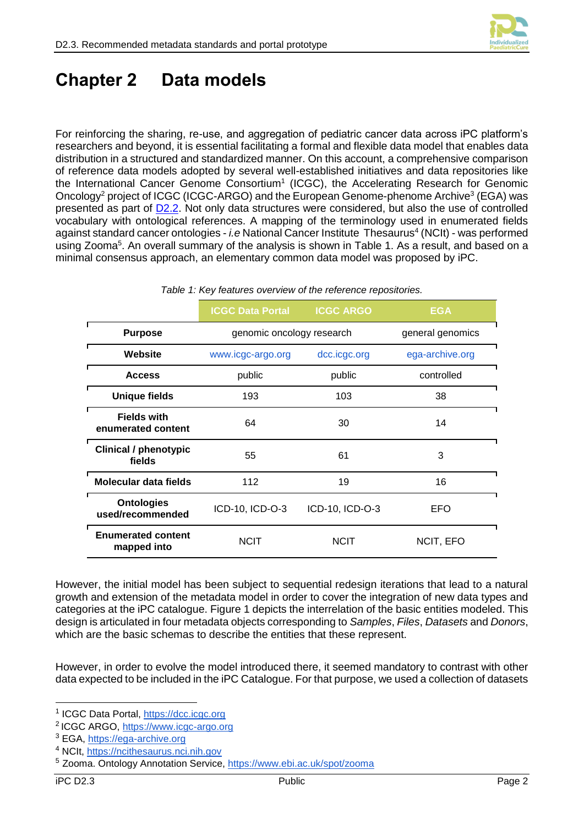

## <span id="page-6-0"></span>**Chapter 2 Data models**

For reinforcing the sharing, re-use, and aggregation of pediatric cancer data across iPC platform's researchers and beyond, it is essential facilitating a formal and flexible data model that enables data distribution in a structured and standardized manner. On this account, a comprehensive comparison of reference data models adopted by several well-established initiatives and data repositories like the International Cancer Genome Consortium<sup>1</sup> (ICGC), the Accelerating Research for Genomic Oncology<sup>2</sup> project of ICGC (ICGC-ARGO) and the European Genome-phenome Archive<sup>3</sup> (EGA) was presented as part of  $D2.2$ . Not only data structures were considered, but also the use of controlled vocabulary with ontological references. A mapping of the terminology used in enumerated fields against standard cancer ontologies - *i.e* National Cancer Institute Thesaurus<sup>4</sup> (NCIt) - was performed using Zooma<sup>5</sup>. An overall summary of the analysis is shown in [Table 1.](#page-6-1) As a result, and based on a minimal consensus approach, an elementary common data model was proposed by iPC.

<span id="page-6-1"></span>

|                                          | <b>ICGC Data Portal</b>   | <b>ICGC ARGO</b> | <b>EGA</b>       |  |
|------------------------------------------|---------------------------|------------------|------------------|--|
| <b>Purpose</b>                           | genomic oncology research |                  | general genomics |  |
| Website                                  | www.icgc-argo.org         | dcc.icgc.org     | ega-archive.org  |  |
| <b>Access</b>                            | public                    | public           | controlled       |  |
| <b>Unique fields</b>                     | 193                       | 103              | 38               |  |
| <b>Fields with</b><br>enumerated content | 64                        | 30               | 14               |  |
| <b>Clinical / phenotypic</b><br>fields   | 55                        | 61               | 3                |  |
| Molecular data fields                    | 112                       | 19               | 16               |  |
| <b>Ontologies</b><br>used/recommended    | ICD-10, ICD-O-3           | ICD-10, ICD-O-3  | EFO              |  |
| <b>Enumerated content</b><br>mapped into | <b>NCIT</b>               | <b>NCIT</b>      | NCIT, EFO        |  |

#### *Table 1: Key features overview of the reference repositories.*

However, the initial model has been subject to sequential redesign iterations that lead to a natural growth and extension of the metadata model in order to cover the integration of new data types and categories at the iPC catalogue. Figure 1 depicts the interrelation of the basic entities modeled. This design is articulated in four metadata objects corresponding to *Samples*, *Files*, *Datasets* and *Donors*, which are the basic schemas to describe the entities that these represent.

However, in order to evolve the model introduced there, it seemed mandatory to contrast with other data expected to be included in the iPC Catalogue. For that purpose, we used a collection of datasets

<sup>&</sup>lt;sup>1</sup> ICGC Data Portal, [https://dcc.icgc.org](https://dcc.icgc.org/)

<sup>&</sup>lt;sup>2</sup> ICGC ARGO, [https://www.icgc-argo.org](https://www.icgc-argo.org/)

<sup>3</sup> EGA, [https://ega-archive.org](https://ega-archive.org/)

<sup>4</sup> NCIt, [https://ncithesaurus.nci.nih.gov](https://ncithesaurus.nci.nih.gov/)

<sup>5</sup> Zooma. Ontology Annotation Service,<https://www.ebi.ac.uk/spot/zooma>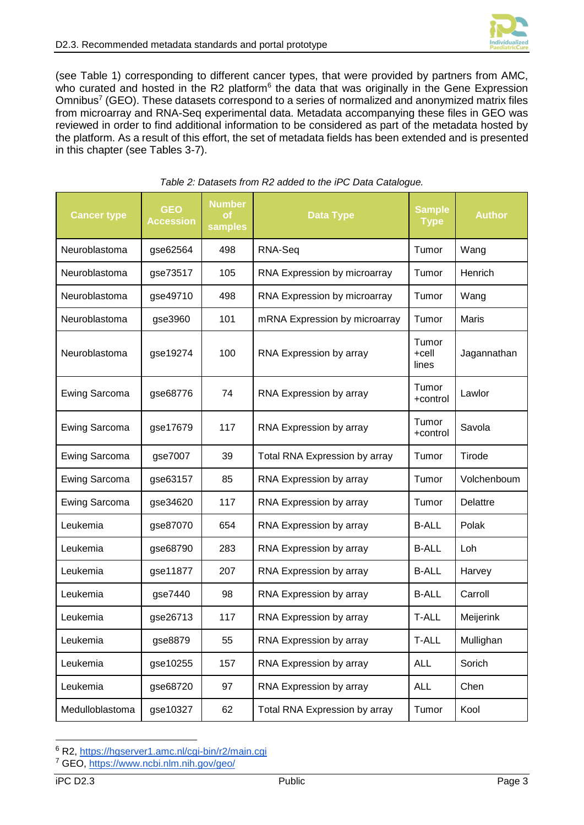

(see [Table 1\)](#page-6-1) corresponding to different cancer types, that were provided by partners from AMC, who curated and hosted in the R2 platform<sup>6</sup> the data that was originally in the Gene Expression Omnibus<sup>7</sup> (GEO). These datasets correspond to a series of normalized and anonymized matrix files from microarray and RNA-Seq experimental data. Metadata accompanying these files in GEO was reviewed in order to find additional information to be considered as part of the metadata hosted by the platform. As a result of this effort, the set of metadata fields has been extended and is presented in this chapter (see Tables 3-7).

<span id="page-7-0"></span>

| <b>Cancer type</b>   | <b>GEO</b><br><b>Accession</b> | <b>Number</b><br>οf<br>samples | <b>Data Type</b>              | <b>Sample</b><br><b>Type</b> | <b>Author</b> |
|----------------------|--------------------------------|--------------------------------|-------------------------------|------------------------------|---------------|
| Neuroblastoma        | gse62564                       | 498                            | RNA-Seq                       | Tumor                        | Wang          |
| Neuroblastoma        | gse73517                       | 105                            | RNA Expression by microarray  | Tumor                        | Henrich       |
| Neuroblastoma        | gse49710                       | 498                            | RNA Expression by microarray  | Tumor                        | Wang          |
| Neuroblastoma        | gse3960                        | 101                            | mRNA Expression by microarray | Tumor                        | <b>Maris</b>  |
| Neuroblastoma        | gse19274                       | 100                            | RNA Expression by array       | Tumor<br>$+$ cell<br>lines   | Jagannathan   |
| <b>Ewing Sarcoma</b> | gse68776                       | 74                             | RNA Expression by array       | Tumor<br>+control            | Lawlor        |
| <b>Ewing Sarcoma</b> | gse17679                       | 117                            | RNA Expression by array       | Tumor<br>+control            | Savola        |
| <b>Ewing Sarcoma</b> | gse7007                        | 39                             | Total RNA Expression by array | Tumor                        | Tirode        |
| Ewing Sarcoma        | gse63157                       | 85                             | RNA Expression by array       | Tumor                        | Volchenboum   |
| <b>Ewing Sarcoma</b> | gse34620                       | 117                            | RNA Expression by array       | Tumor                        | Delattre      |
| Leukemia             | gse87070                       | 654                            | RNA Expression by array       | <b>B-ALL</b>                 | Polak         |
| Leukemia             | gse68790                       | 283                            | RNA Expression by array       | <b>B-ALL</b>                 | Loh           |
| Leukemia             | gse11877                       | 207                            | RNA Expression by array       | <b>B-ALL</b>                 | Harvey        |
| Leukemia             | gse7440                        | 98                             | RNA Expression by array       | <b>B-ALL</b>                 | Carroll       |
| Leukemia             | gse26713                       | 117                            | RNA Expression by array       | <b>T-ALL</b>                 | Meijerink     |
| Leukemia             | gse8879                        | 55                             | RNA Expression by array       | <b>T-ALL</b>                 | Mullighan     |
| Leukemia             | gse10255                       | 157                            | RNA Expression by array       | <b>ALL</b>                   | Sorich        |
| Leukemia             | gse68720                       | 97                             | RNA Expression by array       | <b>ALL</b>                   | Chen          |
| Medulloblastoma      | gse10327                       | 62                             | Total RNA Expression by array | Tumor                        | Kool          |

#### *Table 2: Datasets from R2 added to the iPC Data Catalogue.*

<sup>6</sup> R2,<https://hgserver1.amc.nl/cgi-bin/r2/main.cgi>

<sup>7</sup> GEO,<https://www.ncbi.nlm.nih.gov/geo/>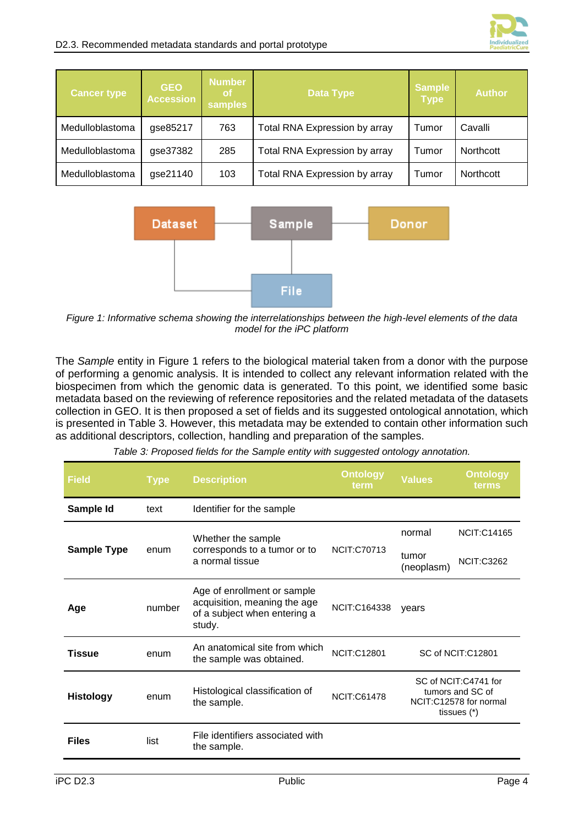

| <b>Cancer type</b> | <b>GEO</b><br><b>Accession</b> | <b>Number</b><br>of/<br>samples | <b>Data Type</b>                       |       | <b>Author</b>    |
|--------------------|--------------------------------|---------------------------------|----------------------------------------|-------|------------------|
| Medulloblastoma    | gse85217                       | 763                             | Total RNA Expression by array<br>Tumor |       | Cavalli          |
| Medulloblastoma    | gse37382                       | 285                             | Total RNA Expression by array<br>Tumor |       | <b>Northcott</b> |
| Medulloblastoma    | gse21140                       | 103                             | Total RNA Expression by array          | Tumor | Northcott        |



<span id="page-8-0"></span>*Figure 1: Informative schema showing the interrelationships between the high-level elements of the data model for the iPC platform*

The *Sample* entity in [Figure 1](#page-8-0) refers to the biological material taken from a donor with the purpose of performing a genomic analysis. It is intended to collect any relevant information related with the biospecimen from which the genomic data is generated. To this point, we identified some basic metadata based on the reviewing of reference repositories and the related metadata of the datasets collection in GEO. It is then proposed a set of fields and its suggested ontological annotation, which is presented in [Table 3.](#page-8-1) However, this metadata may be extended to contain other information such as additional descriptors, collection, handling and preparation of the samples.

<span id="page-8-1"></span>

| <b>Field</b>       | <b>Type</b> | <b>Description</b>                                                                                    | <b>Ontology</b><br>term | <b>Values</b>                                                                       | <b>Ontology</b><br>terms |
|--------------------|-------------|-------------------------------------------------------------------------------------------------------|-------------------------|-------------------------------------------------------------------------------------|--------------------------|
| Sample Id          | text        | Identifier for the sample                                                                             |                         |                                                                                     |                          |
|                    |             | Whether the sample                                                                                    |                         | normal                                                                              | <b>NCIT:C14165</b>       |
| <b>Sample Type</b> | enum        | corresponds to a tumor or to<br>a normal tissue                                                       | <b>NCIT:C70713</b>      | tumor<br>(neoplasm)                                                                 | <b>NCIT:C3262</b>        |
| Age                | number      | Age of enrollment or sample<br>acquisition, meaning the age<br>of a subject when entering a<br>study. | NCIT:C164338            | vears                                                                               |                          |
| <b>Tissue</b>      | enum        | An anatomical site from which<br>the sample was obtained.                                             | <b>NCIT:C12801</b>      |                                                                                     | SC of NCIT:C12801        |
| <b>Histology</b>   | enum        | Histological classification of<br>the sample.                                                         | <b>NCIT:C61478</b>      | SC of NCIT:C4741 for<br>tumors and SC of<br>NCIT:C12578 for normal<br>tissues $(*)$ |                          |
| <b>Files</b>       | list        | File identifiers associated with<br>the sample.                                                       |                         |                                                                                     |                          |

|  |  | Table 3: Proposed fields for the Sample entity with suggested ontology annotation. |  |
|--|--|------------------------------------------------------------------------------------|--|
|  |  |                                                                                    |  |
|  |  |                                                                                    |  |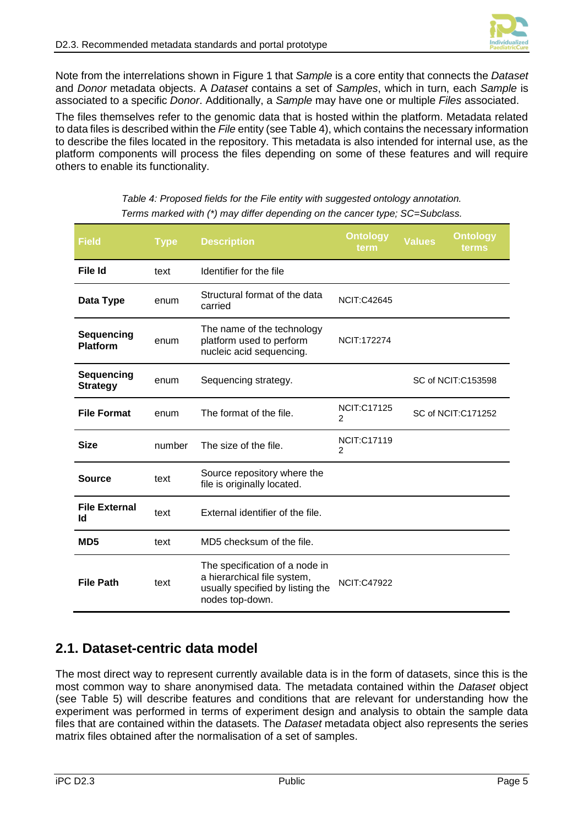Note from the interrelations shown in [Figure 1](#page-8-0) that *Sample* is a core entity that connects the *Dataset* and *Donor* metadata objects. A *Dataset* contains a set of *Samples*, which in turn, each *Sample* is associated to a specific *Donor*. Additionally, a *Sample* may have one or multiple *Files* associated.

The files themselves refer to the genomic data that is hosted within the platform. Metadata related to data files is described within the *File* entity (see [Table 4\)](#page-9-1), which contains the necessary information to describe the files located in the repository. This metadata is also intended for internal use, as the platform components will process the files depending on some of these features and will require others to enable its functionality.

<span id="page-9-1"></span>

| <b>Field</b>                  | <b>Type</b> | <b>Description</b>                                                                                                   | <b>Ontology</b><br>term              | Values              | <b>Ontology</b><br>terms |
|-------------------------------|-------------|----------------------------------------------------------------------------------------------------------------------|--------------------------------------|---------------------|--------------------------|
| File Id                       | text        | Identifier for the file                                                                                              |                                      |                     |                          |
| Data Type                     | enum        | Structural format of the data<br>carried                                                                             | <b>NCIT:C42645</b>                   |                     |                          |
| Sequencing<br><b>Platform</b> | enum        | The name of the technology<br>platform used to perform<br>nucleic acid sequencing.                                   | <b>NCIT:172274</b>                   |                     |                          |
| Sequencing<br><b>Strategy</b> | enum        | Sequencing strategy.                                                                                                 |                                      | SC of NCIT: C153598 |                          |
| <b>File Format</b>            | enum        | The format of the file.                                                                                              | <b>NCIT:C17125</b><br>2              | SC of NCIT: C171252 |                          |
| <b>Size</b>                   | number      | The size of the file.                                                                                                | <b>NCIT:C17119</b><br>$\overline{2}$ |                     |                          |
| <b>Source</b>                 | text        | Source repository where the<br>file is originally located.                                                           |                                      |                     |                          |
| <b>File External</b><br>Id    | text        | External identifier of the file.                                                                                     |                                      |                     |                          |
| MD <sub>5</sub>               | text        | MD5 checksum of the file.                                                                                            |                                      |                     |                          |
| <b>File Path</b>              | text        | The specification of a node in<br>a hierarchical file system,<br>usually specified by listing the<br>nodes top-down. | <b>NCIT:C47922</b>                   |                     |                          |

*Table 4: Proposed fields for the File entity with suggested ontology annotation. Terms marked with (\*) may differ depending on the cancer type; SC=Subclass.*

### <span id="page-9-0"></span>**2.1. Dataset-centric data model**

The most direct way to represent currently available data is in the form of datasets, since this is the most common way to share anonymised data. The metadata contained within the *Dataset* object (see [Table 5\)](#page-10-1) will describe features and conditions that are relevant for understanding how the experiment was performed in terms of experiment design and analysis to obtain the sample data files that are contained within the datasets. The *Dataset* metadata object also represents the series matrix files obtained after the normalisation of a set of samples.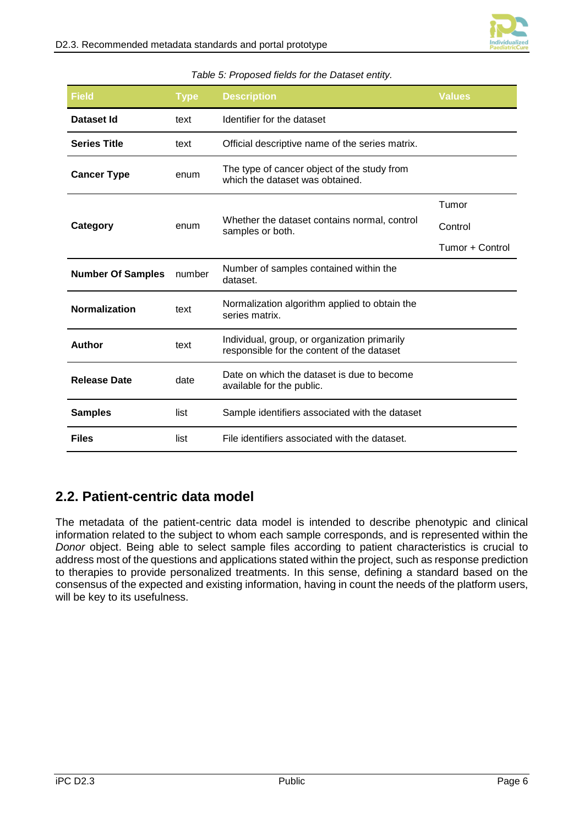

<span id="page-10-1"></span>

| Field                                                                                                  | <b>Type</b> | <b>Description</b>                                                                         | <b>Values</b>   |
|--------------------------------------------------------------------------------------------------------|-------------|--------------------------------------------------------------------------------------------|-----------------|
| Dataset Id                                                                                             | text        | Identifier for the dataset                                                                 |                 |
| <b>Series Title</b>                                                                                    | text        | Official descriptive name of the series matrix.                                            |                 |
| <b>Cancer Type</b>                                                                                     | enum        | The type of cancer object of the study from<br>which the dataset was obtained.             |                 |
|                                                                                                        |             |                                                                                            | Tumor           |
| Category                                                                                               | enum        | Whether the dataset contains normal, control<br>samples or both.                           | Control         |
|                                                                                                        |             |                                                                                            | Tumor + Control |
| Number of samples contained within the<br><b>Number Of Samples</b><br>number<br>dataset.               |             |                                                                                            |                 |
| <b>Normalization</b>                                                                                   | text        | Normalization algorithm applied to obtain the<br>series matrix.                            |                 |
| <b>Author</b>                                                                                          | text        | Individual, group, or organization primarily<br>responsible for the content of the dataset |                 |
| Date on which the dataset is due to become<br><b>Release Date</b><br>date<br>available for the public. |             |                                                                                            |                 |
| <b>Samples</b>                                                                                         | list        | Sample identifiers associated with the dataset                                             |                 |
| <b>Files</b>                                                                                           | list        | File identifiers associated with the dataset.                                              |                 |

#### *Table 5: Proposed fields for the Dataset entity.*

### <span id="page-10-0"></span>**2.2. Patient-centric data model**

The metadata of the patient-centric data model is intended to describe phenotypic and clinical information related to the subject to whom each sample corresponds, and is represented within the *Donor* object. Being able to select sample files according to patient characteristics is crucial to address most of the questions and applications stated within the project, such as response prediction to therapies to provide personalized treatments. In this sense, defining a standard based on the consensus of the expected and existing information, having in count the needs of the platform users, will be key to its usefulness.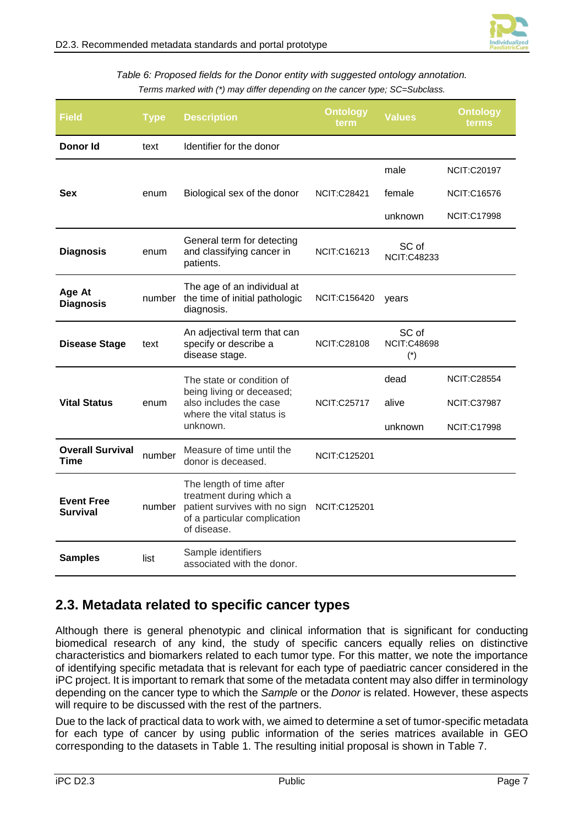

*Table 6: Proposed fields for the Donor entity with suggested ontology annotation. Terms marked with (\*) may differ depending on the cancer type; SC=Subclass.*

<span id="page-11-1"></span>

| Field                                  | <b>Type</b> | <b>Ontology</b><br><b>Description</b><br>term                                                                                        |                     | <b>Values</b>                        | <b>Ontology</b><br>terms |
|----------------------------------------|-------------|--------------------------------------------------------------------------------------------------------------------------------------|---------------------|--------------------------------------|--------------------------|
| Donor Id                               | text        | Identifier for the donor                                                                                                             |                     |                                      |                          |
|                                        |             |                                                                                                                                      |                     | male                                 | <b>NCIT:C20197</b>       |
| <b>Sex</b>                             | enum        | Biological sex of the donor                                                                                                          | <b>NCIT:C28421</b>  | female                               | <b>NCIT:C16576</b>       |
|                                        |             |                                                                                                                                      |                     | unknown                              | <b>NCIT:C17998</b>       |
| <b>Diagnosis</b>                       | enum        | General term for detecting<br>and classifying cancer in<br>patients.                                                                 | <b>NCIT:C16213</b>  | SC of<br><b>NCIT:C48233</b>          |                          |
| Age At<br><b>Diagnosis</b>             | number      | The age of an individual at<br>the time of initial pathologic<br>diagnosis.                                                          | NCIT:C156420        | years                                |                          |
| <b>Disease Stage</b>                   | text        | An adjectival term that can<br>specify or describe a<br>disease stage.                                                               | <b>NCIT:C28108</b>  | SC of<br><b>NCIT:C48698</b><br>$(*)$ |                          |
|                                        | enum        | The state or condition of<br>being living or deceased;<br>also includes the case<br>where the vital status is<br>unknown.            | <b>NCIT:C25717</b>  | dead                                 | <b>NCIT:C28554</b>       |
| <b>Vital Status</b>                    |             |                                                                                                                                      |                     | alive                                | <b>NCIT:C37987</b>       |
|                                        |             |                                                                                                                                      |                     | unknown                              | <b>NCIT:C17998</b>       |
| <b>Overall Survival</b><br><b>Time</b> | number      | Measure of time until the<br>donor is deceased.                                                                                      | <b>NCIT:C125201</b> |                                      |                          |
| <b>Event Free</b><br><b>Survival</b>   | number      | The length of time after<br>treatment during which a<br>patient survives with no sign<br>of a particular complication<br>of disease. | <b>NCIT:C125201</b> |                                      |                          |
| <b>Samples</b>                         | list        | Sample identifiers<br>associated with the donor.                                                                                     |                     |                                      |                          |

### <span id="page-11-0"></span>**2.3. Metadata related to specific cancer types**

Although there is general phenotypic and clinical information that is significant for conducting biomedical research of any kind, the study of specific cancers equally relies on distinctive characteristics and biomarkers related to each tumor type. For this matter, we note the importance of identifying specific metadata that is relevant for each type of paediatric cancer considered in the iPC project. It is important to remark that some of the metadata content may also differ in terminology depending on the cancer type to which the *Sample* or the *Donor* is related. However, these aspects will require to be discussed with the rest of the partners.

Due to the lack of practical data to work with, we aimed to determine a set of tumor-specific metadata for each type of cancer by using public information of the series matrices available in GEO corresponding to the datasets in [Table 1.](#page-6-1) The resulting initial proposal is shown in [Table 7.](#page-12-0)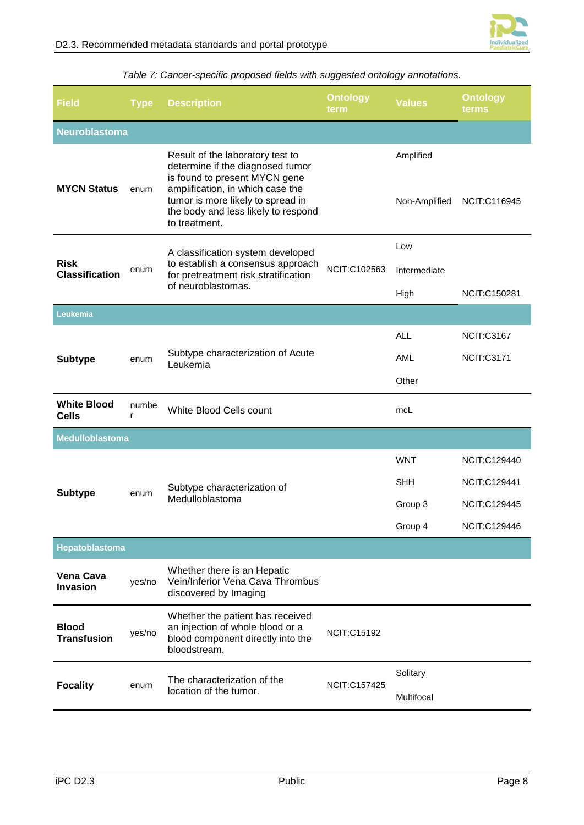

<span id="page-12-0"></span>

| <b>Field</b>                         | <b>Type</b> | <b>Description</b>                                                                                                                                                                                                                     | <b>Ontology</b><br>term | <b>Values</b>                                  | <b>Ontology</b><br>terms                                                          |  |
|--------------------------------------|-------------|----------------------------------------------------------------------------------------------------------------------------------------------------------------------------------------------------------------------------------------|-------------------------|------------------------------------------------|-----------------------------------------------------------------------------------|--|
| <b>Neuroblastoma</b>                 |             |                                                                                                                                                                                                                                        |                         |                                                |                                                                                   |  |
| <b>MYCN Status</b>                   | enum        | Result of the laboratory test to<br>determine if the diagnosed tumor<br>is found to present MYCN gene<br>amplification, in which case the<br>tumor is more likely to spread in<br>the body and less likely to respond<br>to treatment. |                         | Amplified<br>Non-Amplified                     | NCIT:C116945                                                                      |  |
|                                      |             |                                                                                                                                                                                                                                        |                         | Low                                            |                                                                                   |  |
| <b>Risk</b><br><b>Classification</b> | enum        | A classification system developed<br>to establish a consensus approach<br>for pretreatment risk stratification<br>of neuroblastomas.                                                                                                   | NCIT:C102563            | Intermediate<br>High                           | NCIT:C150281                                                                      |  |
| Leukemia                             |             |                                                                                                                                                                                                                                        |                         |                                                |                                                                                   |  |
| <b>Subtype</b>                       | enum        | Subtype characterization of Acute<br>Leukemia                                                                                                                                                                                          |                         | <b>ALL</b>                                     | <b>NCIT:C3167</b>                                                                 |  |
|                                      |             |                                                                                                                                                                                                                                        |                         | AML                                            | NCIT:C3171                                                                        |  |
|                                      |             |                                                                                                                                                                                                                                        |                         | Other                                          |                                                                                   |  |
| <b>White Blood</b><br><b>Cells</b>   | numbe<br>r  | White Blood Cells count                                                                                                                                                                                                                |                         | mcL                                            |                                                                                   |  |
| <b>Medulloblastoma</b>               |             |                                                                                                                                                                                                                                        |                         |                                                |                                                                                   |  |
| <b>Subtype</b>                       | enum        | Subtype characterization of<br>Medulloblastoma                                                                                                                                                                                         |                         | <b>WNT</b><br><b>SHH</b><br>Group 3<br>Group 4 | NCIT:C129440<br><b>NCIT:C129441</b><br><b>NCIT:C129445</b><br><b>NCIT:C129446</b> |  |
| Hepatoblastoma                       |             |                                                                                                                                                                                                                                        |                         |                                                |                                                                                   |  |
| <b>Vena Cava</b><br>Invasion         | yes/no      | Whether there is an Hepatic<br>Vein/Inferior Vena Cava Thrombus<br>discovered by Imaging                                                                                                                                               |                         |                                                |                                                                                   |  |
| <b>Blood</b><br><b>Transfusion</b>   | yes/no      | Whether the patient has received<br>an injection of whole blood or a<br>blood component directly into the<br>bloodstream.                                                                                                              | <b>NCIT:C15192</b>      |                                                |                                                                                   |  |
| <b>Focality</b>                      | enum        | The characterization of the<br>location of the tumor.                                                                                                                                                                                  | <b>NCIT:C157425</b>     | Solitary<br>Multifocal                         |                                                                                   |  |

### *Table 7: Cancer-specific proposed fields with suggested ontology annotations.*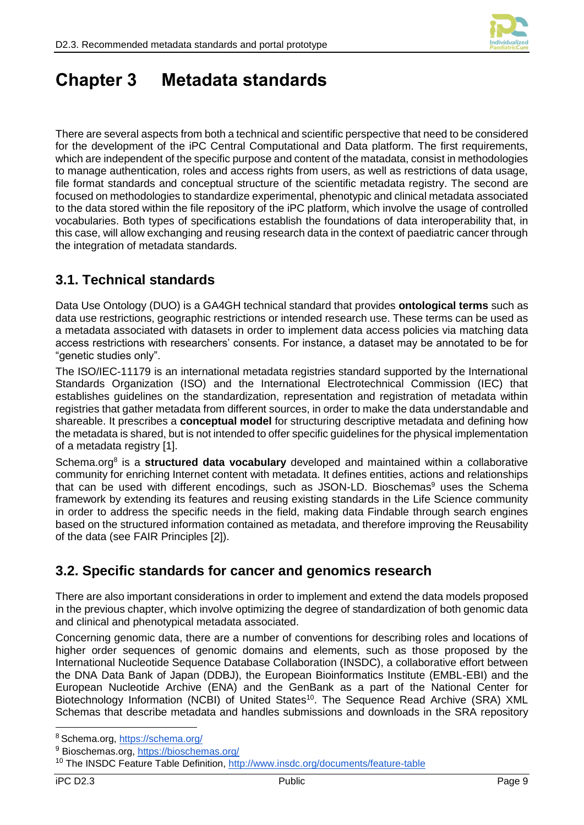

## <span id="page-13-0"></span>**Chapter 3 Metadata standards**

There are several aspects from both a technical and scientific perspective that need to be considered for the development of the iPC Central Computational and Data platform. The first requirements, which are independent of the specific purpose and content of the matadata, consist in methodologies to manage authentication, roles and access rights from users, as well as restrictions of data usage, file format standards and conceptual structure of the scientific metadata registry. The second are focused on methodologies to standardize experimental, phenotypic and clinical metadata associated to the data stored within the file repository of the iPC platform, which involve the usage of controlled vocabularies. Both types of specifications establish the foundations of data interoperability that, in this case, will allow exchanging and reusing research data in the context of paediatric cancer through the integration of metadata standards.

### <span id="page-13-1"></span>**3.1. Technical standards**

Data Use Ontology (DUO) is a GA4GH technical standard that provides **ontological terms** such as data use restrictions, geographic restrictions or intended research use. These terms can be used as a metadata associated with datasets in order to implement data access policies via matching data access restrictions with researchers' consents. For instance, a dataset may be annotated to be for "genetic studies only".

The ISO/IEC-11179 is an international metadata registries standard supported by the International Standards Organization (ISO) and the International Electrotechnical Commission (IEC) that establishes guidelines on the standardization, representation and registration of metadata within registries that gather metadata from different sources, in order to make the data understandable and shareable. It prescribes a **conceptual model** for structuring descriptive metadata and defining how the metadata is shared, but is not intended to offer specific guidelines for the physical implementation of a metadata registry [1].

Schema.org<sup>8</sup> is a structured data vocabulary developed and maintained within a collaborative community for enriching Internet content with metadata. It defines entities, actions and relationships that can be used with different encodings, such as JSON-LD. Bioschemas<sup>9</sup> uses the Schema framework by extending its features and reusing existing standards in the Life Science community in order to address the specific needs in the field, making data Findable through search engines based on the structured information contained as metadata, and therefore improving the Reusability of the data (see FAIR Principles [2]).

### <span id="page-13-2"></span>**3.2. Specific standards for cancer and genomics research**

There are also important considerations in order to implement and extend the data models proposed in the previous chapter, which involve optimizing the degree of standardization of both genomic data and clinical and phenotypical metadata associated.

Concerning genomic data, there are a number of conventions for describing roles and locations of higher order sequences of genomic domains and elements, such as those proposed by the International Nucleotide Sequence Database Collaboration (INSDC), a collaborative effort between the DNA Data Bank of Japan (DDBJ), the European Bioinformatics Institute (EMBL-EBI) and the European Nucleotide Archive (ENA) and the GenBank as a part of the National Center for Biotechnology Information (NCBI) of United States<sup>10</sup>. The Sequence Read Archive (SRA) XML Schemas that describe metadata and handles submissions and downloads in the SRA repository

<sup>8</sup> Schema.org,<https://schema.org/>

<sup>9</sup> Bioschemas.org,<https://bioschemas.org/>

<sup>&</sup>lt;sup>10</sup> The INSDC Feature Table Definition,<http://www.insdc.org/documents/feature-table>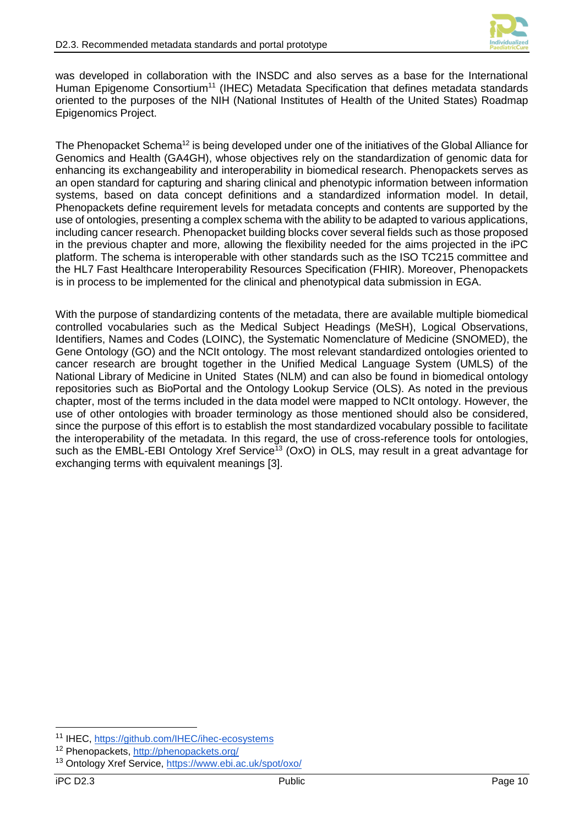

was developed in collaboration with the INSDC and also serves as a base for the International Human Epigenome Consortium<sup>11</sup> (IHEC) Metadata Specification that defines metadata standards oriented to the purposes of the NIH (National Institutes of Health of the United States) Roadmap Epigenomics Project.

The Phenopacket Schema<sup>12</sup> is being developed under one of the initiatives of the Global Alliance for Genomics and Health (GA4GH), whose objectives rely on the standardization of genomic data for enhancing its exchangeability and interoperability in biomedical research. Phenopackets serves as an open standard for capturing and sharing clinical and phenotypic information between information systems, based on data concept definitions and a standardized information model. In detail, Phenopackets define requirement levels for metadata concepts and contents are supported by the use of ontologies, presenting a complex schema with the ability to be adapted to various applications, including cancer research. Phenopacket building blocks cover several fields such as those proposed in the previous chapter and more, allowing the flexibility needed for the aims projected in the iPC platform. The schema is interoperable with other standards such as the ISO TC215 committee and the HL7 Fast Healthcare Interoperability Resources Specification (FHIR). Moreover, Phenopackets is in process to be implemented for the clinical and phenotypical data submission in EGA.

With the purpose of standardizing contents of the metadata, there are available multiple biomedical controlled vocabularies such as the Medical Subject Headings (MeSH), Logical Observations, Identifiers, Names and Codes (LOINC), the Systematic Nomenclature of Medicine (SNOMED), the Gene Ontology (GO) and the NCIt ontology. The most relevant standardized ontologies oriented to cancer research are brought together in the Unified Medical Language System (UMLS) of the National Library of Medicine in United States (NLM) and can also be found in biomedical ontology repositories such as BioPortal and the Ontology Lookup Service (OLS). As noted in the previous chapter, most of the terms included in the data model were mapped to NCIt ontology. However, the use of other ontologies with broader terminology as those mentioned should also be considered, since the purpose of this effort is to establish the most standardized vocabulary possible to facilitate the interoperability of the metadata. In this regard, the use of cross-reference tools for ontologies, such as the EMBL-EBI Ontology Xref Service<sup>13</sup> (OxO) in OLS, may result in a great advantage for exchanging terms with equivalent meanings [3].

<sup>-</sup><sup>11</sup> IHEC, <https://github.com/IHEC/ihec-ecosystems>

<sup>12</sup> Phenopackets,<http://phenopackets.org/>

<sup>13</sup> Ontology Xref Service,<https://www.ebi.ac.uk/spot/oxo/>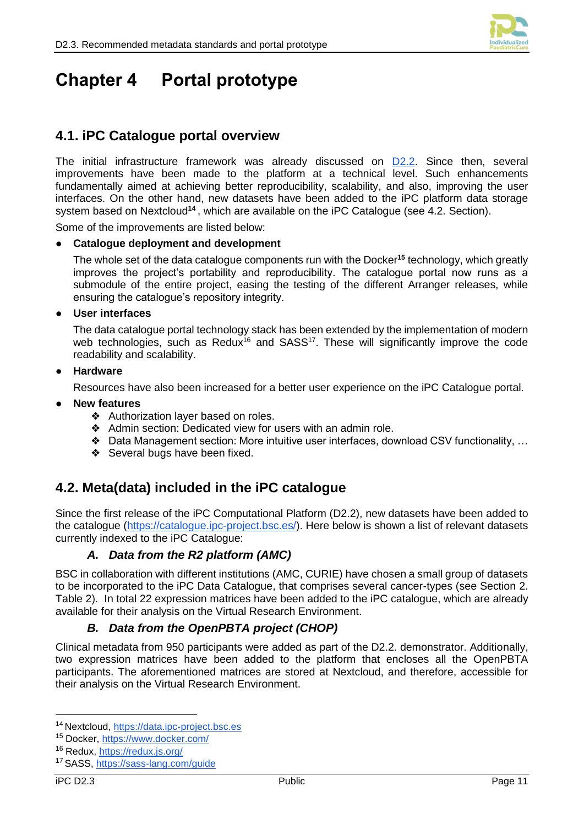

## <span id="page-15-0"></span>**Chapter 4 Portal prototype**

### <span id="page-15-1"></span>**4.1. iPC Catalogue portal overview**

The initial infrastructure framework was already discussed on [D2.2.](https://ipc-project.eu/wp-content/uploads/2021/01/iPC-D2.2-PU-M22.pdf) Since then, several improvements have been made to the platform at a technical level. Such enhancements fundamentally aimed at achieving better reproducibility, scalability, and also, improving the user interfaces. On the other hand, new datasets have been added to the iPC platform data storage system based on Nextcloud**<sup>14</sup>** , which are available on the iPC Catalogue (see 4.2. Section).

Some of the improvements are listed below:

#### ● **Catalogue deployment and development**

The whole set of the data catalogue components run with the Docker**<sup>15</sup>** technology, which greatly improves the project's portability and reproducibility. The catalogue portal now runs as a submodule of the entire project, easing the testing of the different Arranger releases, while ensuring the catalogue's repository integrity.

#### ● **User interfaces**

The data catalogue portal technology stack has been extended by the implementation of modern web technologies, such as Redux<sup>16</sup> and SASS<sup>17</sup>. These will significantly improve the code readability and scalability.

#### **Hardware**

Resources have also been increased for a better user experience on the iPC Catalogue portal.

#### **New features**

- ❖ Authorization layer based on roles.
- ❖ Admin section: Dedicated view for users with an admin role.
- ❖ Data Management section: More intuitive user interfaces, download CSV functionality, …
- ❖ Several bugs have been fixed.

### <span id="page-15-2"></span>**4.2. Meta(data) included in the iPC catalogue**

Since the first release of the iPC Computational Platform (D2.2), new datasets have been added to the catalogue [\(https://catalogue.ipc-project.bsc.es/\)](https://catalogue.ipc-project.bsc.es/). Here below is shown a list of relevant datasets currently indexed to the iPC Catalogue:

### *A. Data from the R2 platform (AMC)*

<span id="page-15-3"></span>BSC in collaboration with different institutions (AMC, CURIE) have chosen a small group of datasets to be incorporated to the iPC Data Catalogue, that comprises several cancer-types (see Section 2. Table 2). In total 22 expression matrices have been added to the iPC catalogue, which are already available for their analysis on the Virtual Research Environment.

### *B. Data from the OpenPBTA project (CHOP)*

<span id="page-15-4"></span>Clinical metadata from 950 participants were added as part of the D2.2. demonstrator. Additionally, two expression matrices have been added to the platform that encloses all the OpenPBTA participants. The aforementioned matrices are stored at Nextcloud, and therefore, accessible for their analysis on the Virtual Research Environment.

<sup>14</sup> Nextcloud, [https://data.ipc-project.bsc.es](https://data.ipc-project.bsc.es/)

<sup>15</sup> Docker,<https://www.docker.com/>

<sup>16</sup> Redux,<https://redux.js.org/>

<sup>17</sup> SASS,<https://sass-lang.com/guide>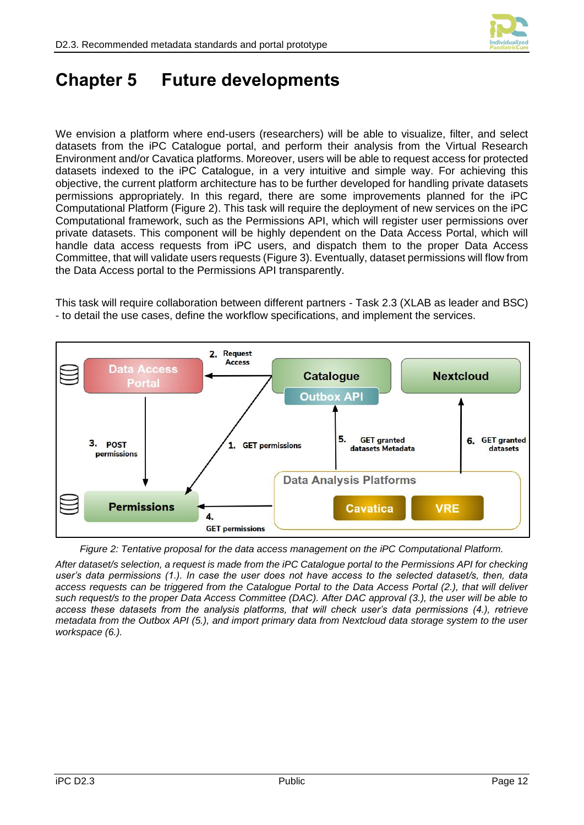

## <span id="page-16-0"></span>**Chapter 5 Future developments**

We envision a platform where end-users (researchers) will be able to visualize, filter, and select datasets from the iPC Catalogue portal, and perform their analysis from the Virtual Research Environment and/or Cavatica platforms. Moreover, users will be able to request access for protected datasets indexed to the iPC Catalogue, in a very intuitive and simple way. For achieving this objective, the current platform architecture has to be further developed for handling private datasets permissions appropriately. In this regard, there are some improvements planned for the iPC Computational Platform [\(Figure 2\)](#page-16-1). This task will require the deployment of new services on the iPC Computational framework, such as the Permissions API, which will register user permissions over private datasets. This component will be highly dependent on the Data Access Portal, which will handle data access requests from iPC users, and dispatch them to the proper Data Access Committee, that will validate users requests [\(Figure 3\)](#page-17-0). Eventually, dataset permissions will flow from the Data Access portal to the Permissions API transparently.

This task will require collaboration between different partners - Task 2.3 (XLAB as leader and BSC) - to detail the use cases, define the workflow specifications, and implement the services.



*Figure 2: Tentative proposal for the data access management on the iPC Computational Platform.* 

<span id="page-16-1"></span>*After dataset/s selection, a request is made from the iPC Catalogue portal to the Permissions API for checking user's data permissions (1.). In case the user does not have access to the selected dataset/s, then, data access requests can be triggered from the Catalogue Portal to the Data Access Portal (2.), that will deliver such request/s to the proper Data Access Committee (DAC). After DAC approval (3.), the user will be able to access these datasets from the analysis platforms, that will check user's data permissions (4.), retrieve metadata from the Outbox API (5.), and import primary data from Nextcloud data storage system to the user workspace (6.).*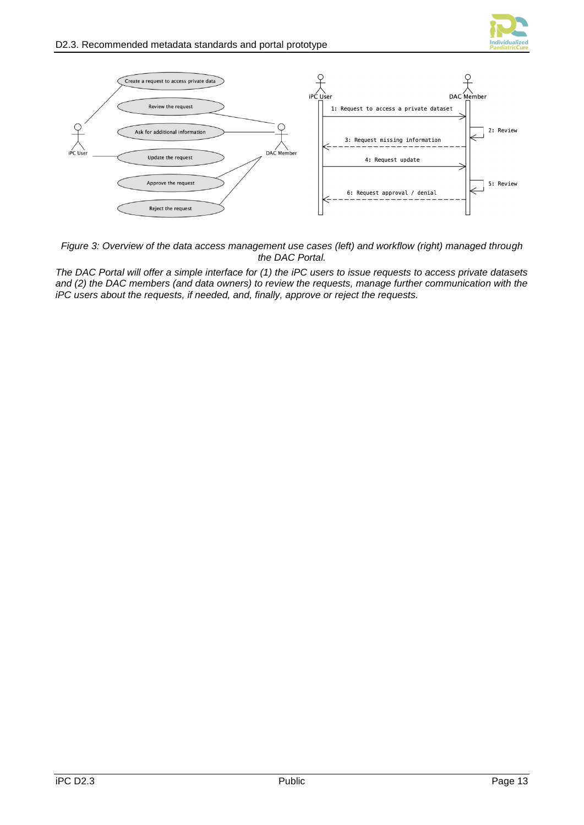



<span id="page-17-0"></span>*Figure 3: Overview of the data access management use cases (left) and workflow (right) managed through the DAC Portal.* 

*The DAC Portal will offer a simple interface for (1) the iPC users to issue requests to access private datasets and (2) the DAC members (and data owners) to review the requests, manage further communication with the iPC users about the requests, if needed, and, finally, approve or reject the requests.*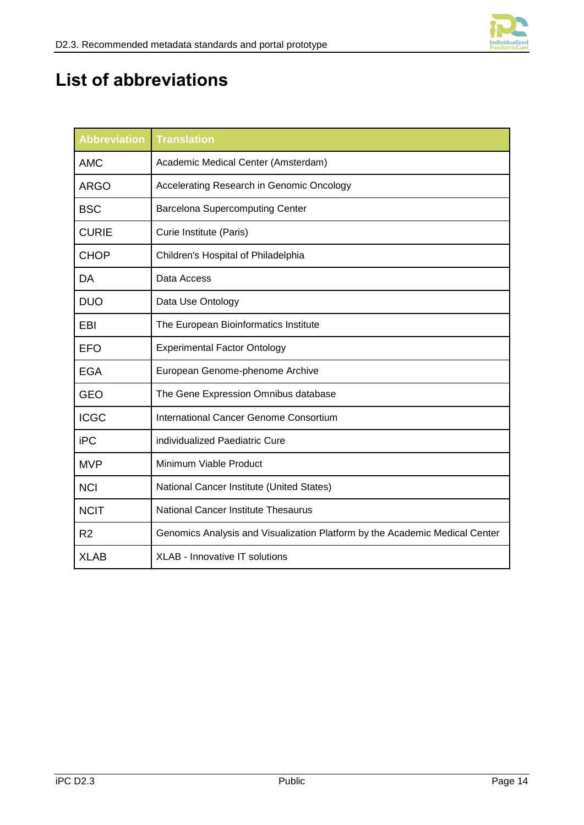

# <span id="page-18-0"></span>**List of abbreviations**

| <b>Abbreviation</b> | <b>Translation</b>                                                          |  |
|---------------------|-----------------------------------------------------------------------------|--|
| <b>AMC</b>          | Academic Medical Center (Amsterdam)                                         |  |
| <b>ARGO</b>         | Accelerating Research in Genomic Oncology                                   |  |
| <b>BSC</b>          | <b>Barcelona Supercomputing Center</b>                                      |  |
| <b>CURIE</b>        | Curie Institute (Paris)                                                     |  |
| <b>CHOP</b>         | Children's Hospital of Philadelphia                                         |  |
| DA                  | Data Access                                                                 |  |
| <b>DUO</b>          | Data Use Ontology                                                           |  |
| EBI                 | The European Bioinformatics Institute                                       |  |
| <b>EFO</b>          | <b>Experimental Factor Ontology</b>                                         |  |
| EGA                 | European Genome-phenome Archive                                             |  |
| <b>GEO</b>          | The Gene Expression Omnibus database                                        |  |
| <b>ICGC</b>         | International Cancer Genome Consortium                                      |  |
| iPC                 | individualized Paediatric Cure                                              |  |
| <b>MVP</b>          | Minimum Viable Product                                                      |  |
| <b>NCI</b>          | National Cancer Institute (United States)                                   |  |
| <b>NCIT</b>         | <b>National Cancer Institute Thesaurus</b>                                  |  |
| R <sub>2</sub>      | Genomics Analysis and Visualization Platform by the Academic Medical Center |  |
| <b>XLAB</b>         | <b>XLAB - Innovative IT solutions</b>                                       |  |